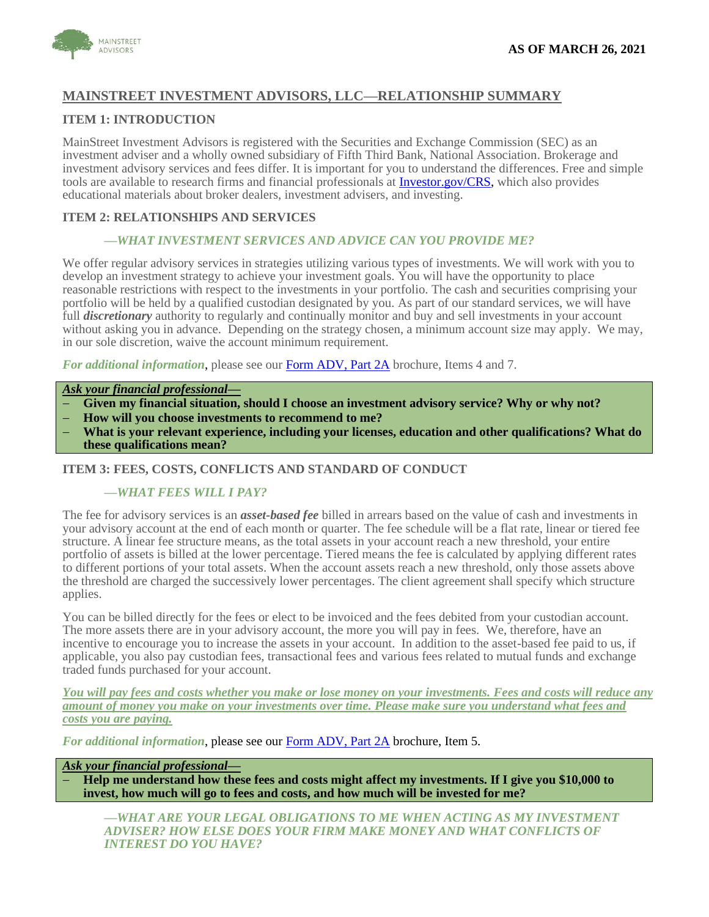# **MAINSTREET INVESTMENT ADVISORS, LLC—RELATIONSHIP SUMMARY**

# **ITEM 1: INTRODUCTION**

MainStreet Investment Advisors is registered with the Securities and Exchange Commission (SEC) as an investment adviser and a wholly owned subsidiary of Fifth Third Bank, National Association. Brokerage and investment advisory services and fees differ. It is important for you to understand the differences. Free and simple tools are available to research firms and financial professionals at [Investor.gov/CRS,](https://www.investor.gov/crs) which also provides educational materials about broker dealers, investment advisers, and investing.

## **ITEM 2: RELATIONSHIPS AND SERVICES**

## *—WHAT INVESTMENT SERVICES AND ADVICE CAN YOU PROVIDE ME?*

We offer regular advisory services in strategies utilizing various types of investments. We will work with you to develop an investment strategy to achieve your investment goals. You will have the opportunity to place reasonable restrictions with respect to the investments in your portfolio. The cash and securities comprising your portfolio will be held by a qualified custodian designated by you. As part of our standard services, we will have full *discretionary* authority to regularly and continually monitor and buy and sell investments in your account without asking you in advance. Depending on the strategy chosen, a minimum account size may apply. We may, in our sole discretion, waive the account minimum requirement.

*For additional information*, please see our [Form ADV, Part 2A](https://adviserinfo.sec.gov/firm/summary/146615) brochure, Items 4 and 7.

### *Ask your financial professional—*

- − **Given my financial situation, should I choose an investment advisory service? Why or why not?**
- − **How will you choose investments to recommend to me?**
- − **What is your relevant experience, including your licenses, education and other qualifications? What do these qualifications mean?**

## **ITEM 3: FEES, COSTS, CONFLICTS AND STANDARD OF CONDUCT**

#### *—WHAT FEES WILL I PAY?*

The fee for advisory services is an *asset-based fee* billed in arrears based on the value of cash and investments in your advisory account at the end of each month or quarter. The fee schedule will be a flat rate, linear or tiered fee structure. A linear fee structure means, as the total assets in your account reach a new threshold, your entire portfolio of assets is billed at the lower percentage. Tiered means the fee is calculated by applying different rates to different portions of your total assets. When the account assets reach a new threshold, only those assets above the threshold are charged the successively lower percentages. The client agreement shall specify which structure applies.

You can be billed directly for the fees or elect to be invoiced and the fees debited from your custodian account. The more assets there are in your advisory account, the more you will pay in fees. We, therefore, have an incentive to encourage you to increase the assets in your account. In addition to the asset-based fee paid to us, if applicable, you also pay custodian fees, transactional fees and various fees related to mutual funds and exchange traded funds purchased for your account.

*You will pay fees and costs whether you make or lose money on your investments. Fees and costs will reduce any amount of money you make on your investments over time. Please make sure you understand what fees and costs you are paying.*

*For additional information*, please see our [Form ADV, Part 2A](https://adviserinfo.sec.gov/firm/summary/146615) brochure, Item 5.

#### *Ask your financial professional—*

**Help me understand how these fees and costs might affect my investments. If I give you \$10,000 to invest, how much will go to fees and costs, and how much will be invested for me?**

*—WHAT ARE YOUR LEGAL OBLIGATIONS TO ME WHEN ACTING AS MY INVESTMENT ADVISER? HOW ELSE DOES YOUR FIRM MAKE MONEY AND WHAT CONFLICTS OF INTEREST DO YOU HAVE?*